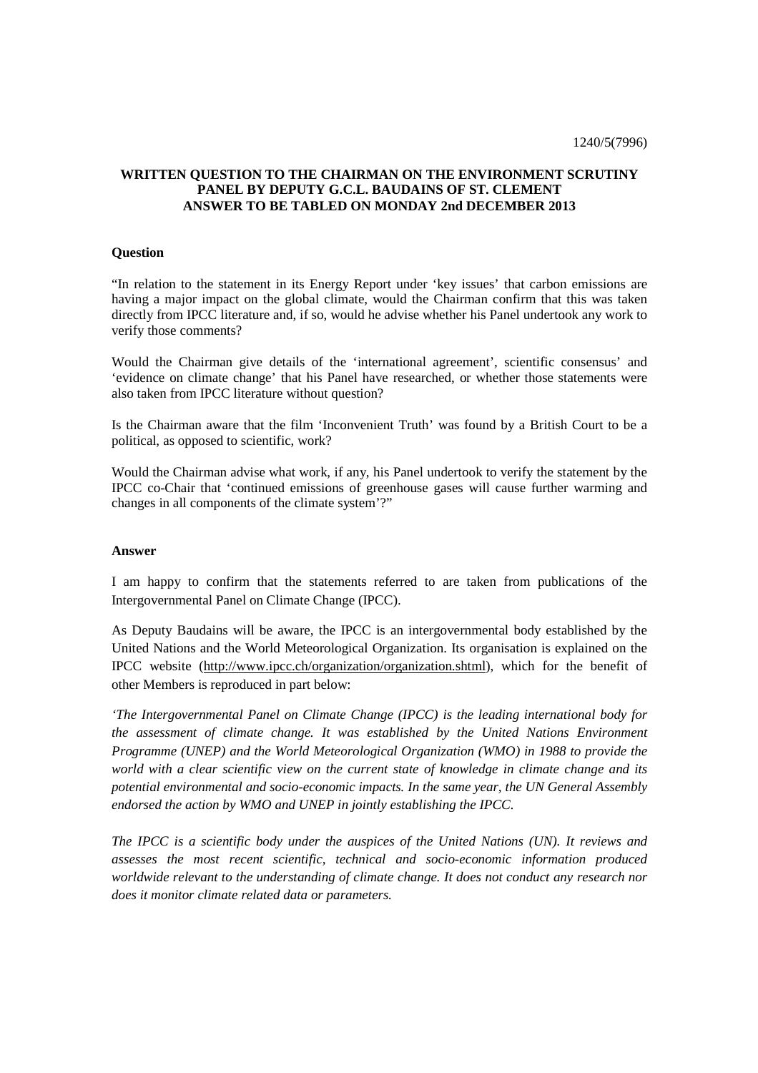## **WRITTEN QUESTION TO THE CHAIRMAN ON THE ENVIRONMENT SCRUTINY PANEL BY DEPUTY G.C.L. BAUDAINS OF ST. CLEMENT ANSWER TO BE TABLED ON MONDAY 2nd DECEMBER 2013**

## **Question**

"In relation to the statement in its Energy Report under 'key issues' that carbon emissions are having a major impact on the global climate, would the Chairman confirm that this was taken directly from IPCC literature and, if so, would he advise whether his Panel undertook any work to verify those comments?

Would the Chairman give details of the 'international agreement', scientific consensus' and 'evidence on climate change' that his Panel have researched, or whether those statements were also taken from IPCC literature without question?

Is the Chairman aware that the film 'Inconvenient Truth' was found by a British Court to be a political, as opposed to scientific, work?

Would the Chairman advise what work, if any, his Panel undertook to verify the statement by the IPCC co-Chair that 'continued emissions of greenhouse gases will cause further warming and changes in all components of the climate system'?"

## **Answer**

I am happy to confirm that the statements referred to are taken from publications of the Intergovernmental Panel on Climate Change (IPCC).

As Deputy Baudains will be aware, the IPCC is an intergovernmental body established by the United Nations and the World Meteorological Organization. Its organisation is explained on the IPCC website (http://www.ipcc.ch/organization/organization.shtml), which for the benefit of other Members is reproduced in part below:

*'The Intergovernmental Panel on Climate Change (IPCC) is the leading international body for the assessment of climate change. It was established by the United Nations Environment Programme (UNEP) and the World Meteorological Organization (WMO) in 1988 to provide the world with a clear scientific view on the current state of knowledge in climate change and its potential environmental and socio-economic impacts. In the same year, the UN General Assembly endorsed the action by WMO and UNEP in jointly establishing the IPCC.* 

*The IPCC is a scientific body under the auspices of the United Nations (UN). It reviews and assesses the most recent scientific, technical and socio-economic information produced worldwide relevant to the understanding of climate change. It does not conduct any research nor does it monitor climate related data or parameters.*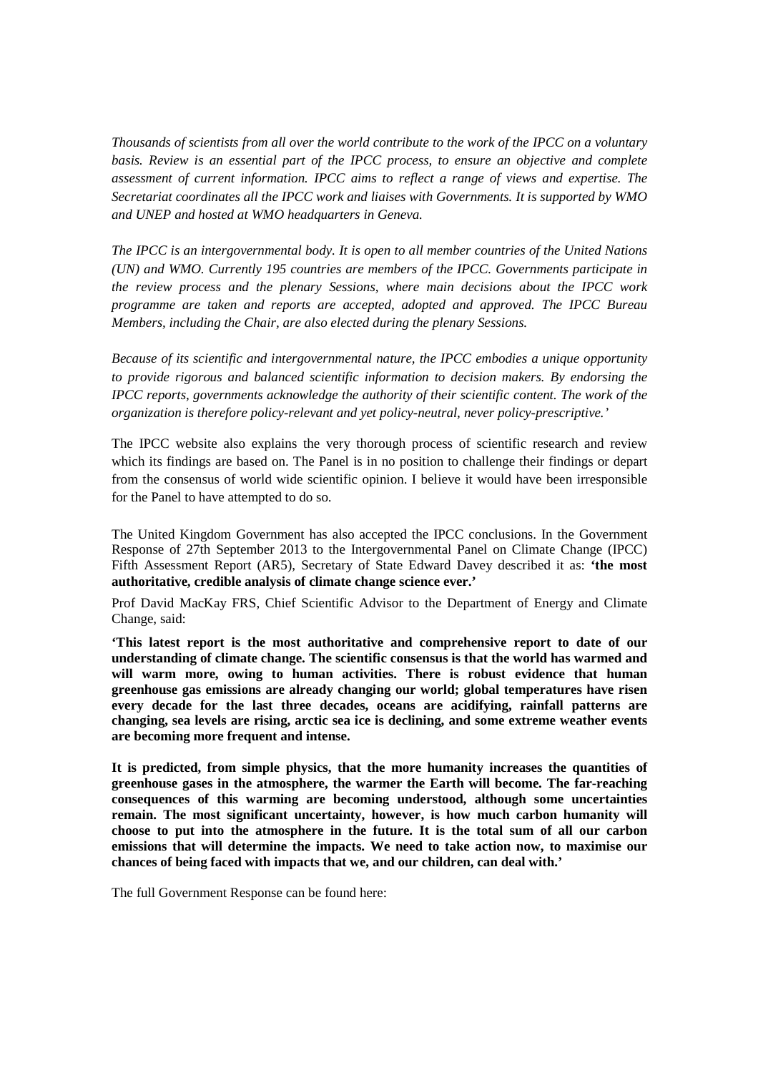*Thousands of scientists from all over the world contribute to the work of the IPCC on a voluntary basis. Review is an essential part of the IPCC process, to ensure an objective and complete assessment of current information. IPCC aims to reflect a range of views and expertise. The Secretariat coordinates all the IPCC work and liaises with Governments. It is supported by WMO and UNEP and hosted at WMO headquarters in Geneva.* 

*The IPCC is an intergovernmental body. It is open to all member countries of the United Nations (UN) and WMO. Currently 195 countries are members of the IPCC. Governments participate in the review process and the plenary Sessions, where main decisions about the IPCC work programme are taken and reports are accepted, adopted and approved. The IPCC Bureau Members, including the Chair, are also elected during the plenary Sessions.* 

*Because of its scientific and intergovernmental nature, the IPCC embodies a unique opportunity to provide rigorous and balanced scientific information to decision makers. By endorsing the IPCC reports, governments acknowledge the authority of their scientific content. The work of the organization is therefore policy-relevant and yet policy-neutral, never policy-prescriptive.'* 

The IPCC website also explains the very thorough process of scientific research and review which its findings are based on. The Panel is in no position to challenge their findings or depart from the consensus of world wide scientific opinion. I believe it would have been irresponsible for the Panel to have attempted to do so.

The United Kingdom Government has also accepted the IPCC conclusions. In the Government Response of 27th September 2013 to the Intergovernmental Panel on Climate Change (IPCC) Fifth Assessment Report (AR5), Secretary of State Edward Davey described it as: **'the most authoritative, credible analysis of climate change science ever.'** 

Prof David MacKay FRS, Chief Scientific Advisor to the Department of Energy and Climate Change, said:

**'This latest report is the most authoritative and comprehensive report to date of our understanding of climate change. The scientific consensus is that the world has warmed and will warm more, owing to human activities. There is robust evidence that human greenhouse gas emissions are already changing our world; global temperatures have risen every decade for the last three decades, oceans are acidifying, rainfall patterns are changing, sea levels are rising, arctic sea ice is declining, and some extreme weather events are becoming more frequent and intense.** 

**It is predicted, from simple physics, that the more humanity increases the quantities of greenhouse gases in the atmosphere, the warmer the Earth will become. The far-reaching consequences of this warming are becoming understood, although some uncertainties remain. The most significant uncertainty, however, is how much carbon humanity will choose to put into the atmosphere in the future. It is the total sum of all our carbon emissions that will determine the impacts. We need to take action now, to maximise our chances of being faced with impacts that we, and our children, can deal with.'** 

The full Government Response can be found here: